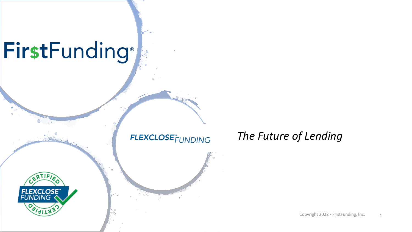#### FirstFunding® Le

#### **FLEXCLOSE**<sup>#</sup>UNDING

#### *The Future of Lending*



Copyright 2022 - FirstFunding, Inc.  $1$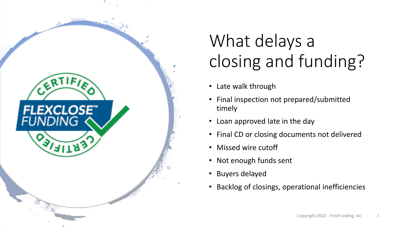

### What delays a closing and funding?

- Late walk through
- Final inspection not prepared/submitted timely
- Loan approved late in the day
- Final CD or closing documents not delivered
- Missed wire cutoff
- Not enough funds sent
- Buyers delayed
- Backlog of closings, operational inefficiencies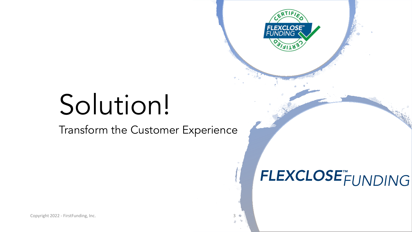# Solution!

Transform the Customer Experience

### FLEXCLOSE<sup>T</sup>FUNDING

**FLEXCLOSE<sup>"</sup>**<br>FUNDING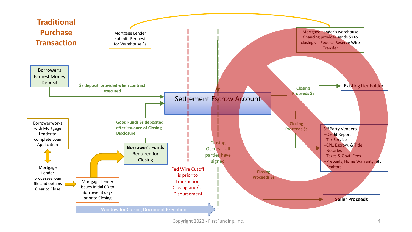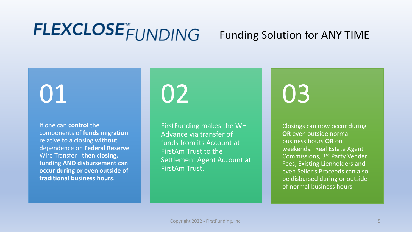### FLEXCLOSE<sup>T</sup>FUNDING

#### Funding Solution for ANY TIME

## 01

If one can **control** the components of **funds migration**  relative to a closing **without** dependence on **Federal Reserve**  Wire Transfer - **then closing, funding AND disbursement can occur during or even outside of traditional business hours**.

02

FirstFunding makes the WH Advance via transfer of funds from its Account at FirstAm Trust to the Settlement Agent Account at FirstAm Trust.

03

Closings can now occur during **OR** even outside normal business hours **OR** on weekends. Real Estate Agent Commissions, 3rd Party Vender Fees, Existing Lienholders and even Seller's Proceeds can also be disbursed during or outside of normal business hours.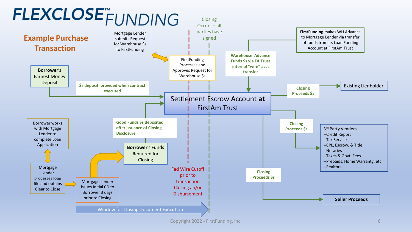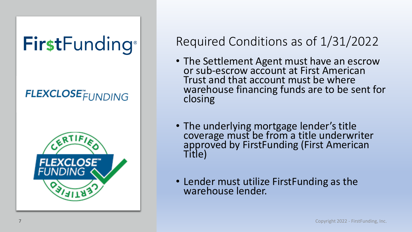## FirstFunding®

### **FLEXCLOSE**FUNDING



### Required Conditions as of 1/31/2022

- The Settlement Agent must have an escrow or sub -escrow account at First American Trust and that account must be where warehouse financing funds are to be sent for closing
- The underlying mortgage lender's title coverage must be from a title underwriter approved by FirstFunding (First American Title)
- Lender must utilize FirstFunding as the warehouse lender.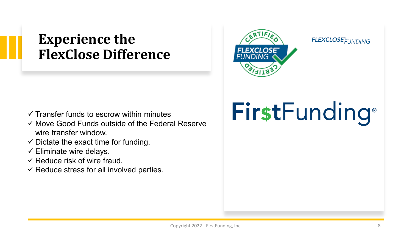### **Experience the FlexClose Difference**



#### **FLEXCLOSE**<sup>"</sup>FUNDING

- $\checkmark$  Transfer funds to escrow within minutes
- $\checkmark$  Move Good Funds outside of the Federal Reserve wire transfer window.
- $\checkmark$  Dictate the exact time for funding.
- $\checkmark$  Eliminate wire delays.
- $\checkmark$  Reduce risk of wire fraud.
- $\checkmark$  Reduce stress for all involved parties.

# FirstFunding®